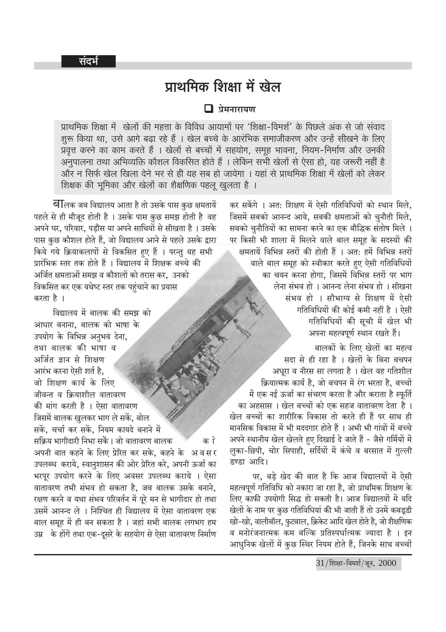## प्राथमिक शिक्षा में खेल

## $\Box$  प्रेमनारायण

प्राथमिक शिक्षा में खेलों की महत्ता के विविध आयामों पर 'शिक्षा-विमर्श' के पिछले अंक से जो संवाद शुरू किया था, उसे आगे बढ़ा रहे हैं । खेल बच्चे के आरंभिक समाजीकरण और उन्हें सीखने के लिए प्रवृत्त करने का काम करते हैं । खेलों से बच्चों में सहयोग, समूह भावना, नियम-निर्माण और उनकी अनुपालना तथा अभिव्यक्ति कौशल विकसित होते हैं । लेकिन सभी खेलों से ऐसा हो, यह जरूरी नहीं है और न सिर्फ खेल खिला देने भर से ही यह सब हो जायेगा । यहां से प्राथमिक शिक्षा में खेलों को लेकर शिक्षक की भूमिका और खेलों का शैक्षणिक पहलू खुलता है ।

बिलिक जब विद्यालय आता है तो उसके पास कुछ क्षमतायें पहले से ही मौजूद होती है । उसके पास कुछ समझ होती है वह अपने घर, परिवार, पड़ौस या अपने साथियों से सीखता है । उसके पास कुछ कौशल होते हैं, जो विद्यालय आने से पहले उसके द्वारा किये गये क्रियाकलापों से विकसित हए हैं । परन्तु यह सभी प्रारंभिक स्तर तक होते हैं । विद्यालय में शिक्षक बच्चे की अर्जित क्षमताओं समझ व कौशलों को तरास कर. उनको विकसित कर एक यथेष्ट स्तर तक पहुंचाने का प्रयास करता है ।

विद्यालय में बालक की समझ को आधार बनाना. बालक को भाषा के उपयोग के विभिन्न अनुभव देना, तथा बालक की भाषा व अर्जित ज्ञान से शिक्षण आरंभ करना ऐसी शर्त है, जो शिक्षण कार्य के लिए जीवन्त व क्रियाशील वातावरण की मांग करती है । ऐसा वातावरण जिसमें बालक खुलकर भाग ले सकें, बोल सकें. चर्चा कर सकें. नियम कायदे बनाने में सक्रिय भागीदारी निभा सकें। जो वातावरण बालक को अपनी बात कहने के लिए प्रेरित कर सके, कहने के अवसर उपलब्ध कराये, स्वानुशासन की ओर प्रेरित करे, अपनी ऊर्जा का भरपुर उपयोग करने के लिए अवसर उपलब्ध कराये । ऐसा वातावरण तभी संभव हो सकता है. जब बालक उसके बनाने. रक्षण करने व यथा संभव परिवर्तन में परे मन से भागीदार हो तथा उसमें आनन्द ले । निश्चित ही विद्यालय में ऐसा वातावरण एक बाल समूह में ही बन सकता है । जहां सभी बालक लगभग हम उम्र के होंगें तथा एक-दुसरे के सहयोग से ऐसा वातावरण निर्माण कर सकेंगे । अत: शिक्षण में ऐसी गतिविधियों को स्थान मिले. जिसमें सबको आनन्द आये, सबकी क्षमताओं को चुनौती मिले, सबको चुनौतियों का सामना करने का एक बौद्धिक संतोष मिले । पर किसी भी शाला में मिलने वाले बाल समूह के सदस्यों की क्षमतायें विभिन्न स्तरों की होती हैं । अत: हमें विभिन्न स्तरों वाले बाल समूह को स्वीकार करते हए ऐसी गतिविधियों का चयन करना होगा. जिसमें विभिन्न स्तरों पर भाग लेना संभव हो । आनन्द लेना संभव हो । सीखना संभव हो । सौभाग्य से शिक्षण में ऐसी गतिविधियों की कोई कमी नहीं है । ऐसी गतिविधियों की सूची में खेल भी अपना महत्वपूर्ण स्थान रखते हैं।

बालकों के लिए खेलों का महत्व सदा से ही रहा है । खेलों के बिना बचपन अधूरा व नीरस सा लगता है । खेल वह गतिशील क्रियात्मक कार्य है, जो बचपन में रंग भरता है, बच्चों में एक नई ऊर्जा का संचरण करता है और कराता है स्फर्ति का अहसास । खेल बच्चों को एक सहज वातावरण देता है । खेल बच्चों का शारीरिक विकास तो करते ही हैं पर साथ ही मानसिक विकास में भी मददगार होते हैं । अभी भी गांवों में बच्चे अपने स्थानीय खेल खेलते हुए दिखाई दे जाते हैं - जैसे गर्मियों में लका-छिपी. चोर सिपाही. सर्दियों में कंचे व बरसात में गल्ली डण्डा आदि।

पर. बड़े खेद की बात है कि आज विद्यालयों में ऐसी महत्वपूर्ण गतिविधि को नकारा जा रहा है. जो प्राथमिक शिक्षण के लिए काफी उपयोगी सिद्ध हो सकती है। आज विद्यालयों में यदि खेलों के नाम पर कुछ गतिविधियां की भी जाती हैं तो उनमें कबड़्डी खो-खो, वालीबॉल, फुटबाल, क्रिकेट आदि खेल होते है, जो शैक्षणिक व मनोरंजनात्मक कम बल्कि प्रतिस्पर्धात्मक ज्यादा है । इन आधुनिक खेलों में कुछ स्थिर नियम होते हैं, जिनके साथ बच्चों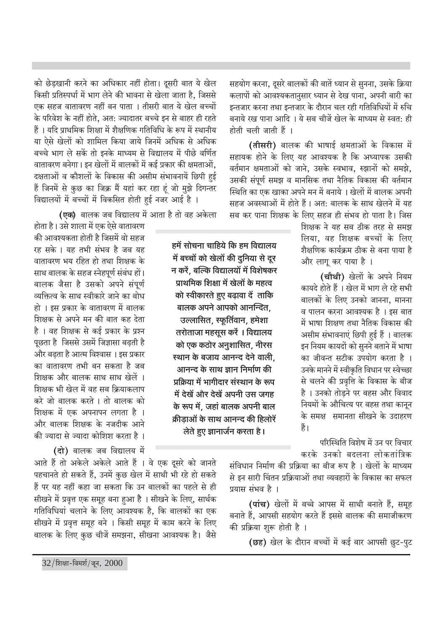सहयोग करना, दूसरे बालकों की बातें ध्यान से सुनना, उसके क्रिया कलापों को आवश्यकतानसार ध्यान से देख पाना. अपनी बारी का इन्तजार करना तथा इन्तजार के दौरान चल रही गतिविधियों में रुचि बनाये रख पाना आदि । ये सब चीजें खेल के माध्यम से स्वत: ही होती चली जाती हैं ।

(तीसरी) बालक की भाषाई क्षमताओं के विकास में सहायक होने के लिए यह आवश्यक है कि अध्यापक उसकी वर्तमान क्षमताओं को जाने. उसके स्वभाव. रुझानों को समझे. उसकी संपूर्ण समझ व मानसिक तथा नैतिक विकास की वर्तमान स्थिति का एक खाका अपने मन में बनाये । खेलों में बालक अपनी सहज अवस्थाओं में होते हैं। अत: बालक के साथ खेलने में यह सब कर पाना शिक्षक के लिए सहज ही संभव हो पाता है। जिस

> शिक्षक ने यह सब ठीक तरह से समझ लिया. वह शिक्षक बच्चों के लिए शैक्षणिक कार्यक्रम ठीक से बना पाया है और लागू कर पाया है ।

> (चौथी) खेलों के अपने नियम कायदे होते हैं । खेल में भाग ले रहे सभी बालकों के लिए उनको जानना. मानना व पालन करना आवश्यक है । इस बात में भाषा शिक्षण तथा नैतिक विकास की असीम संभावनाएं छिपी हुई हैं । बालक इन नियम कायदों को सुनने बताने में भाषा का जीवन्त सटीक उपयोग करता है । उनके मानने में स्वीकृति विधान पर स्वेच्छा से चलने की प्रवृत्ति के विकास के बीज है । उनको तोडने पर बहस और विवाद नियमों के औचित्य पर बहस तथा कानून के समक्ष समानता सीखने के उदाहरण हैं।

> परिस्थिति विशेष में उन पर विचार करके उनको बदलना लोकतांत्रिक

संविधान निर्माण की प्रक्रिया का बीज रूप है । खेलों के माध्यम से इन सारी चिंतन प्रक्रियाओं तथा व्यवहारों के विकास का सफल प्रयास संभव है ।

(पांच) खेलों में बच्चे आपस में साथी बनाते हैं, समूह बनाते हैं, आपसी सहयोग करते हैं इससे बालक की समाजीकरण की प्रक्रिया शुरू होती है ।

(छह) खेल के दौरान बच्चों में कई बार आपसी छुट-पुट

को छेड़खानी करने का अधिकार नहीं होता। दूसरी बात ये खेल किसी प्रतिस्पर्धा में भाग लेने की भावना से खेला जाता है. जिससे एक सहज वातावरण नहीं बन पाता । तीसरी बात ये खेल बच्चों के परिवेश के नहीं होते. अत: ज्यादातर बच्चे इन से बाहर ही रहते हैं । यदि प्राथमिक शिक्षा में शैक्षणिक गतिविधि के रूप में स्थानीय या ऐसे खेलों को शामिल किया जाये जिनमें अधिक से अधिक बच्चे भाग ले सकें तो इनके माध्यम से विद्यालय में पीछे वर्णित वातावरण बनेगा। इन खेलों में बालकों में कई प्रकार की क्षमताओं, दक्षताओं व कौशलों के विकास की असीम संभावनायें छिपी हई हैं जिनमें से कुछ का जिक्र मैं यहां कर रहा हूं जो मुझे दिगन्तर विद्यालयों में बच्चों में विकसित होती हुई नजर आई है ।

(एक) बालक जब विद्यालय में आता है तो वह अकेला

होता है। उसे शाला में एक ऐसे वातावरण की आवश्यकता होती है जिसमें वो सहज रह सके। यह तभी संभव है जब यह वातावरण भय रहित हो तथा शिक्षक के साथ बालक के सहज स्नेहपूर्ण संबंध हों। बालक जैसा है उसको अपने संपूर्ण व्यक्तित्व के साथ स्वीकारे जाने का बोध हो । इस प्रकार के वातावरण में बालक शिक्षक से अपने मन की बात कह देता है । वह शिक्षक से कई प्रकार के प्रश्न पछता है जिससे उसमें जिज्ञासा बढती है और बढता है आत्म विश्वास । इस प्रकार का वातावरण तभी बन सकता है जब शिक्षक और बालक साथ साथ खेलें । शिक्षक भी खेल में वह सब क्रियाकलाप करे जो बालक करते । तो बालक को शिक्षक में एक अपनापन लगता है । और बालक शिक्षक के नजदीक आने की ज्यादा से ज्यादा कोशिश करता है ।

(दो) बालक जब विद्यालय में

आते हैं तो अकेले अकेले आते हैं । वे एक दूसरे को जानते पहचानते हो सकते हैं, उनमें कुछ खेल में साथी भी रहे हो सकते हैं पर यह नहीं कहा जा सकता कि उन बालकों का पहले से ही सीखने में प्रवृत्त एक समूह बना हआ है। सीखने के लिए, सार्थक गतिविधियां चलाने के लिए आवश्यक है, कि बालकों का एक सीखने में प्रवृत्त समूह बने । किसी समूह में काम करने के लिए बालक के लिए कुछ चीजें समझना, सीखना आवश्यक है। जैसे

हमें सोचना चाहिये कि हम विद्यालय में बच्चों को खेलों की दुनिया से दूर न करें. बल्कि विद्यालयों में विशेषकर प्राथमिक शिक्षा में खेलों के महत्व को स्वीकारते हुए बढ़ावा दें ताकि बालक अपने आपको आनन्दित, उल्लासित, स्फूर्तिवान, हमेशा तरोताजा महसूस करें । विद्यालय को एक कठोर अनशासित, नीरस स्थान के बजाय आनन्द देने वाली. आनन्द के साथ ज्ञान निर्माण की प्रक्रिया में भागीदार संस्थान के रूप में देखें और देखें अपनी उस जगह के रूप में. जहां बालक अपनी बाल क्रीडाओं के साथ आनन्द की हिलोरें लेते हुए ज्ञानार्जन करता है।